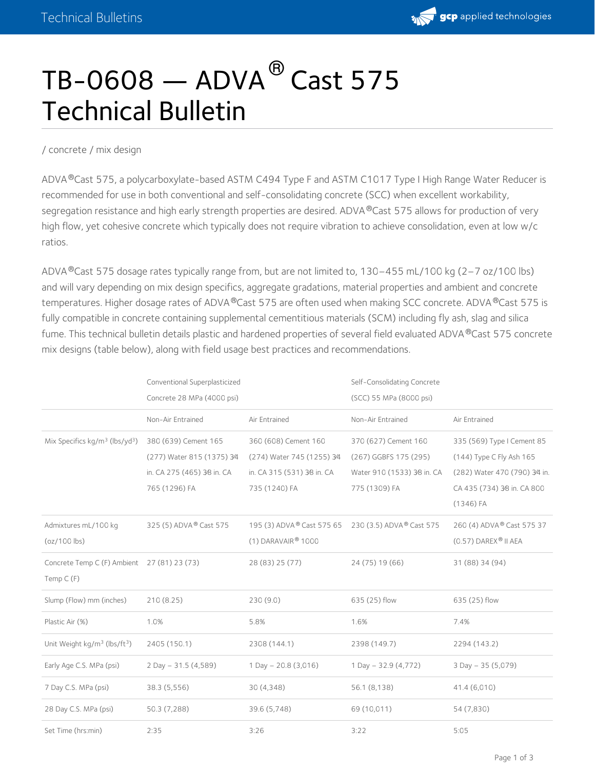

# $\texttt{TB-O608} \textcolor{red}{-\texttt{ADVA}}^\text{\textregistered}$  Cast 575 Technical Bulletin

#### / [concrete](https://gcpat.com/concrete) / mix [design](https://gcpat.com/concrete/mix-design)

ADVA®Cast 575, a polycarboxylate-based ASTM C494 Type F and ASTM C1017 Type I High Range Water Reducer is recommended for use in both conventional and self-consolidating concrete (SCC) when excellent workability, segregation resistance and high early strength properties are desired. ADVA®Cast 575 allows for production of very high flow, yet cohesive concrete which typically does not require vibration to achieve consolidation, even at low w/c ratios.

ADVA®Cast 575 dosage rates typically range from, but are not limited to, 130–455 mL/100 kg (2–7 oz/100 lbs) and will vary depending on mix design specifics, aggregate gradations, material properties and ambient and concrete temperatures. Higher dosage rates of ADVA®Cast 575 are often used when making SCC concrete. ADVA®Cast 575 is fully compatible in concrete containing supplemental cementitious materials (SCM) including fly ash, slag and silica fume. This technical bulletin details plastic and hardened properties of several field evaluated ADVA®Cast 575 concrete mix designs (table below), along with field usage best practices and recommendations.

|                                                      | Conventional Superplasticized<br>Concrete 28 MPa (4000 psi) |                                       | Self-Consolidating Concrete<br>(SCC) 55 MPa (8000 psi) |                               |
|------------------------------------------------------|-------------------------------------------------------------|---------------------------------------|--------------------------------------------------------|-------------------------------|
|                                                      | Non-Air Entrained                                           | Air Entrained                         | Non-Air Entrained                                      | Air Entrained                 |
| Mix Specifics $kg/m^3$ (lbs/yd <sup>3</sup> )        | 380 (639) Cement 165                                        | 360 (608) Cement 160                  | 370 (627) Cement 160                                   | 335 (569) Type I Cement 85    |
|                                                      | (277) Water 815 (1375) 3⁄4                                  | (274) Water 745 (1255) 3⁄4            | (267) GGBFS 175 (295)                                  | (144) Type C Fly Ash 165      |
|                                                      | in. CA 275 (465) 3⁄8 in. CA                                 | in. CA 315 (531) 3⁄8 in. CA           | Water 910 (1533) 38 in. CA                             | (282) Water 470 (790) 3⁄4 in. |
|                                                      | 765 (1296) FA                                               | 735 (1240) FA                         | 775 (1309) FA                                          | CA 435 (734) 38 in. CA 800    |
|                                                      |                                                             |                                       |                                                        | $(1346)$ FA                   |
| Admixtures mL/100 kg                                 | 325 (5) ADVA <sup>®</sup> Cast 575                          | 195 (3) ADVA <sup>®</sup> Cast 575 65 | 230 (3.5) ADVA <sup>®</sup> Cast 575                   | 260 (4) ADVA® Cast 575 37     |
| $(oz/100$ lbs)                                       |                                                             | $(1)$ DARAVAIR® 1000                  |                                                        | $(0.57)$ DAREX® II AEA        |
| Concrete Temp C (F) Ambient 27 (81) 23 (73)          |                                                             | 28 (83) 25 (77)                       | 24 (75) 19 (66)                                        | 31 (88) 34 (94)               |
| Temp $C(F)$                                          |                                                             |                                       |                                                        |                               |
| Slump (Flow) mm (inches)                             | 210(8.25)                                                   | 230(9.0)                              | 635 (25) flow                                          | 635 (25) flow                 |
| Plastic Air (%)                                      | 1.0%                                                        | 5.8%                                  | 1.6%                                                   | 7.4%                          |
| Unit Weight kg/m <sup>3</sup> (lbs/ft <sup>3</sup> ) | 2405 (150.1)                                                | 2308 (144.1)                          | 2398 (149.7)                                           | 2294 (143.2)                  |
| Early Age C.S. MPa (psi)                             | $2$ Day - 31.5 (4,589)                                      | $1$ Day $- 20.8$ (3,016)              | 1 Day $-32.9(4,772)$                                   | $3$ Day $-35$ (5,079)         |
| 7 Day C.S. MPa (psi)                                 | 38.3 (5,556)                                                | 30 (4,348)                            | 56.1 (8,138)                                           | 41.4 (6,010)                  |
| 28 Day C.S. MPa (psi)                                | 50.3 (7,288)                                                | 39.6 (5,748)                          | 69 (10,011)                                            | 54 (7,830)                    |
| Set Time (hrs:min)                                   | 2:35                                                        | 3:26                                  | 3:22                                                   | 5:05                          |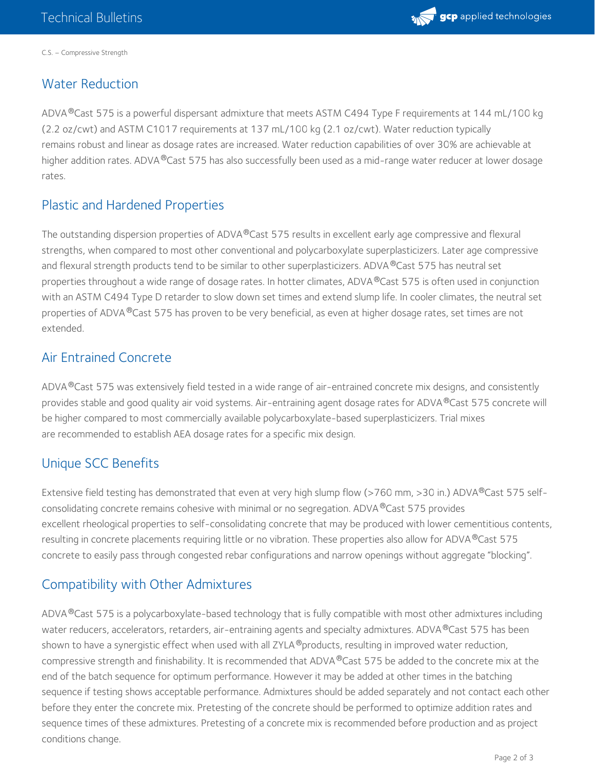

C.S. – Compressive Strength

## Water Reduction

ADVA®Cast 575 is a powerful dispersant admixture that meets ASTM C494 Type F requirements at 144 mL/100 kg (2.2 oz/cwt) and ASTM C1017 requirements at 137 mL/100 kg (2.1 oz/cwt). Water reduction typically remains robust and linear as dosage rates are increased. Water reduction capabilities of over 30% are achievable at higher addition rates. ADVA®Cast 575 has also successfully been used as a mid-range water reducer at lower dosage rates.

#### Plastic and Hardened Properties

The outstanding dispersion properties of ADVA®Cast 575 results in excellent early age compressive and flexural strengths, when compared to most other conventional and polycarboxylate superplasticizers. Later age compressive and flexural strength products tend to be similar to other superplasticizers. ADVA  $^\circledR$ Cast 575 has neutral set properties throughout a wide range of dosage rates. In hotter climates, ADVA®Cast 575 is often used in conjunction with an ASTM C494 Type D retarder to slow down set times and extend slump life. In cooler climates, the neutral set properties of ADVA®Cast 575 has proven to be very beneficial, as even at higher dosage rates, set times are not extended.

#### Air Entrained Concrete

ADVA®Cast 575 was extensively field tested in a wide range of air-entrained concrete mix designs, and consistently provides stable and good quality air void systems. Air-entraining agent dosage rates for ADVA®Cast 575 concrete will be higher compared to most commercially available polycarboxylate-based superplasticizers. Trial mixes are recommended to establish AEA dosage rates for a specific mix design.

### Unique SCC Benefits

Extensive field testing has demonstrated that even at very high slump flow (>760 mm, >30 in.) ADVA®Cast 575 selfconsolidating concrete remains cohesive with minimal or no segregation. ADVA®Cast 575 provides excellent rheological properties to self-consolidating concrete that may be produced with lower cementitious contents, resulting in concrete placements requiring little or no vibration. These properties also allow for ADVA®Cast 575 concrete to easily pass through congested rebar configurations and narrow openings without aggregate "blocking".

# Compatibility with Other Admixtures

ADVA®Cast 575 is a polycarboxylate-based technology that is fully compatible with most other admixtures including water reducers, accelerators, retarders, air-entraining agents and specialty admixtures. ADVA®Cast 575 has been shown to have a synergistic effect when used with all ZYLA ®products, resulting in improved water reduction, compressive strength and finishability. It is recommended that ADVA®Cast 575 be added to the concrete mix at the end of the batch sequence for optimum performance. However it may be added at other times in the batching sequence if testing shows acceptable performance. Admixtures should be added separately and not contact each other before they enter the concrete mix. Pretesting of the concrete should be performed to optimize addition rates and sequence times of these admixtures. Pretesting of a concrete mix is recommended before production and as project conditions change.